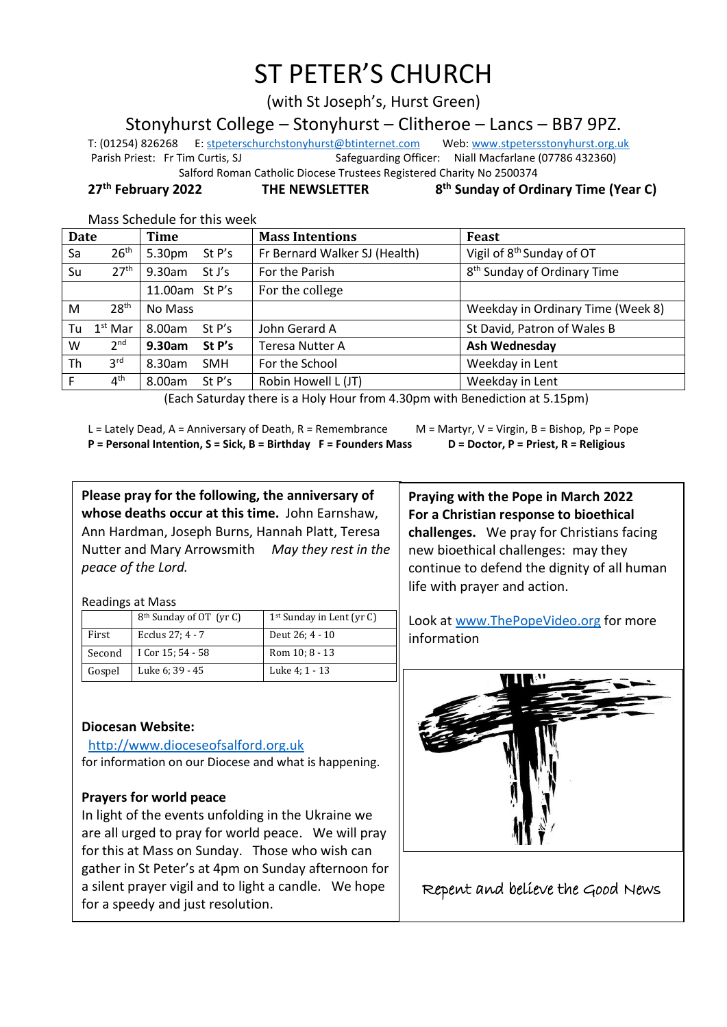# ST PETER'S CHURCH

(with St Joseph's, Hurst Green)

Stonyhurst College – Stonyhurst – Clitheroe – Lancs – BB7 9PZ.

T: (01254) 826268 E[: stpeterschurchstonyhurst@btinternet.com](mailto:stpeterschurchstonyhurst@btinternet.com) Web[: www.stpetersstonyhurst.org.uk](http://www.stpetersstonyhurst.org.uk/) Parish Priest: Fr Tim Curtis, SJ Safeguarding Officer: Niall Macfarlane (07786 432360) Salford Roman Catholic Diocese Trustees Registered Charity No 2500374

**27th February 2022 THE NEWSLETTER 8**

**th Sunday of Ordinary Time (Year C)**

Mass Schedule for this week

| <b>Date</b> |                  | <b>Time</b>          | <b>Mass Intentions</b>        | Feast                                   |
|-------------|------------------|----------------------|-------------------------------|-----------------------------------------|
| Sa          | 26 <sup>th</sup> | 5.30pm<br>St P's     | Fr Bernard Walker SJ (Health) | Vigil of 8 <sup>th</sup> Sunday of OT   |
| Su          | 27 <sup>th</sup> | 9.30am<br>St J's     | For the Parish                | 8 <sup>th</sup> Sunday of Ordinary Time |
|             |                  | 11.00am St P's       | For the college               |                                         |
| M           | 28 <sup>th</sup> | No Mass              |                               | Weekday in Ordinary Time (Week 8)       |
| Tu          | $1st$ Mar        | 8.00am<br>St P's     | John Gerard A                 | St David, Patron of Wales B             |
| W           | 2 <sup>nd</sup>  | 9.30am<br>St P's     | <b>Teresa Nutter A</b>        | Ash Wednesday                           |
| Th          | $3^{\text{rd}}$  | 8.30am<br><b>SMH</b> | For the School                | Weekday in Lent                         |
| F           | 4 <sup>th</sup>  | 8.00am<br>St P's     | Robin Howell L (JT)           | Weekday in Lent                         |

(Each Saturday there is a Holy Hour from 4.30pm with Benediction at 5.15pm)

L = Lately Dead, A = Anniversary of Death, R = Remembrance M = Martyr, V = Virgin, B = Bishop, Pp = Pope **P = Personal Intention, S = Sick, B = Birthday F = Founders Mass D = Doctor, P = Priest, R = Religious**

**Please pray for the following, the anniversary of whose deaths occur at this time.** John Earnshaw, Ann Hardman, Joseph Burns, Hannah Platt, Teresa Nutter and Mary Arrowsmith *May they rest in the peace of the Lord.*

**Praying with the Pope in March 2022 For a Christian response to bioethical challenges.** We pray for Christians facing new bioethical challenges: may they continue to defend the dignity of all human life with prayer and action.

Look at www.ThePopeVideo.org for more

information

Readings at Mass

|        | 8 <sup>th</sup> Sunday of OT (yr C) | $1st$ Sunday in Lent (yr C) |
|--------|-------------------------------------|-----------------------------|
| First  | Ecclus 27: 4 - 7                    | Deut 26; 4 - 10             |
| Second | I Cor 15; 54 - 58                   | Rom 10; 8 - 13              |
| Gospel | Luke 6; 39 - 45                     | Luke 4: 1 - 13              |

**Diocesan Website:**

http://www.dioceseofsalford.org.uk for information on our Diocese and what is happening.

## **Prayers for world peace**

In light of the events unfolding in the Ukraine we are all urged to pray for world peace. We will pray for this at Mass on Sunday. Those who wish can gather in St Peter's at 4pm on Sunday afternoon for a silent prayer vigil and to light a candle. We hope for a speedy and just resolution.



Repent and believe the Good News